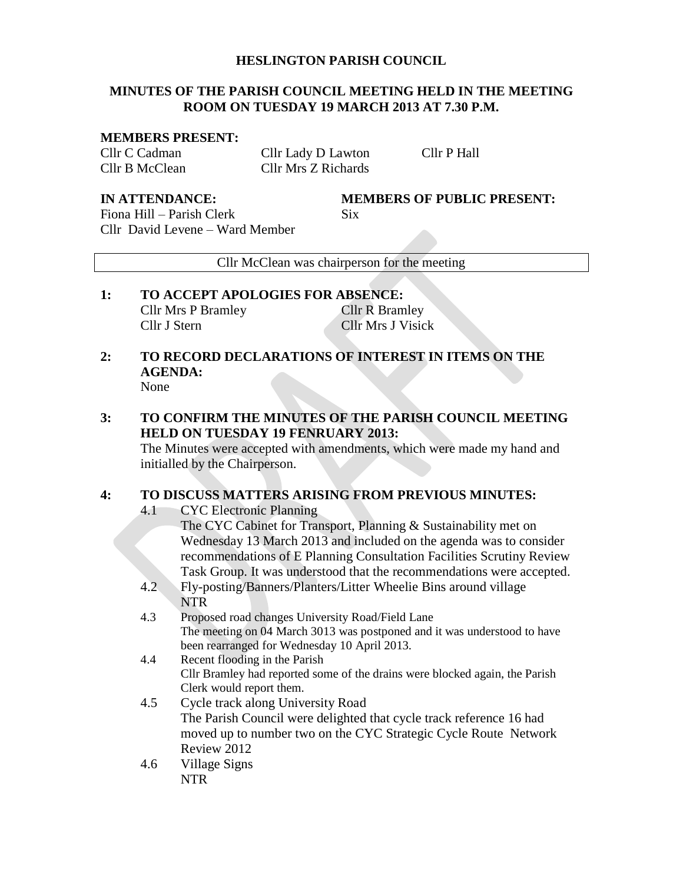### **HESLINGTON PARISH COUNCIL**

## **MINUTES OF THE PARISH COUNCIL MEETING HELD IN THE MEETING ROOM ON TUESDAY 19 MARCH 2013 AT 7.30 P.M.**

#### **MEMBERS PRESENT:**

Cllr C Cadman Cllr Lady D Lawton Cllr P Hall Cllr B McClean Cllr Mrs Z Richards

**IN ATTENDANCE: MEMBERS OF PUBLIC PRESENT:**

Fiona Hill – Parish Clerk Six Cllr David Levene – Ward Member

Cllr McClean was chairperson for the meeting

## **1: TO ACCEPT APOLOGIES FOR ABSENCE:** Cllr Mrs P Bramley Cllr R Bramley Cllr J Stern Cllr Mrs J Visick

#### **2: TO RECORD DECLARATIONS OF INTEREST IN ITEMS ON THE AGENDA:** None

# **3: TO CONFIRM THE MINUTES OF THE PARISH COUNCIL MEETING HELD ON TUESDAY 19 FENRUARY 2013:**

The Minutes were accepted with amendments, which were made my hand and initialled by the Chairperson.

## **4: TO DISCUSS MATTERS ARISING FROM PREVIOUS MINUTES:**

4.1 CYC Electronic Planning

The CYC Cabinet for Transport, Planning & Sustainability met on Wednesday 13 March 2013 and included on the agenda was to consider recommendations of E Planning Consultation Facilities Scrutiny Review Task Group. It was understood that the recommendations were accepted.

- 4.2 Fly-posting/Banners/Planters/Litter Wheelie Bins around village **NTR**
- 4.3 Proposed road changes University Road/Field Lane The meeting on 04 March 3013 was postponed and it was understood to have been rearranged for Wednesday 10 April 2013.
- 4.4 Recent flooding in the Parish Cllr Bramley had reported some of the drains were blocked again, the Parish Clerk would report them.
- 4.5 Cycle track along University Road The Parish Council were delighted that cycle track reference 16 had moved up to number two on the CYC Strategic Cycle Route Network Review 2012
- 4.6 Village Signs NTR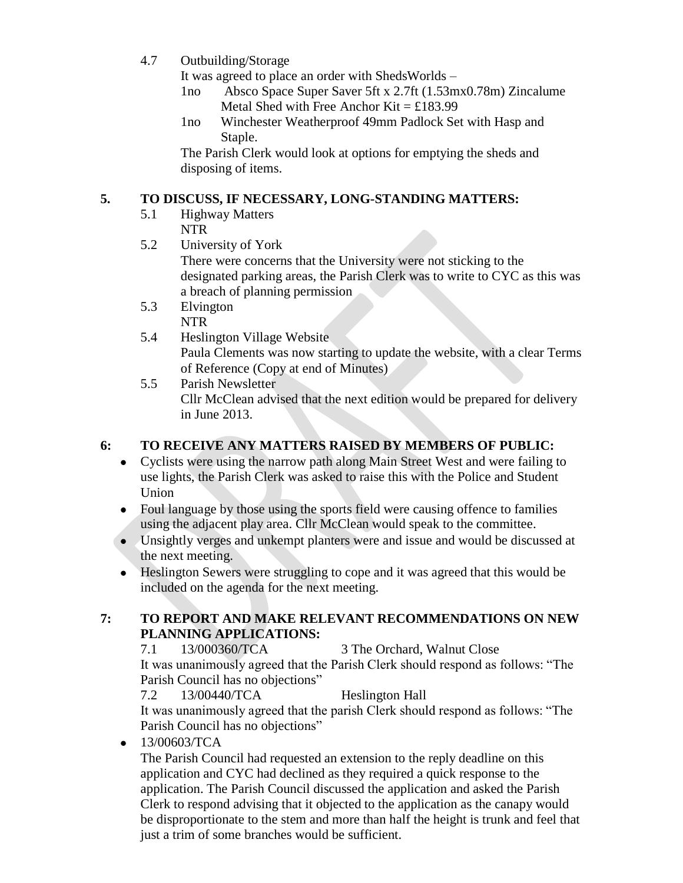4.7 Outbuilding/Storage

It was agreed to place an order with ShedsWorlds –

- 1no Absco Space Super Saver 5ft x 2.7ft (1.53mx0.78m) Zincalume Metal Shed with Free Anchor Kit =  $£183.99$
- 1no Winchester Weatherproof 49mm Padlock Set with Hasp and Staple.

The Parish Clerk would look at options for emptying the sheds and disposing of items.

# **5. TO DISCUSS, IF NECESSARY, LONG-STANDING MATTERS:**

- 5.1 Highway Matters NTR
- 5.2 University of York

There were concerns that the University were not sticking to the designated parking areas, the Parish Clerk was to write to CYC as this was a breach of planning permission

- 5.3 Elvington NTR
- 5.4 Heslington Village Website Paula Clements was now starting to update the website, with a clear Terms of Reference (Copy at end of Minutes)
- 5.5 Parish Newsletter Cllr McClean advised that the next edition would be prepared for delivery in June 2013.

# **6: TO RECEIVE ANY MATTERS RAISED BY MEMBERS OF PUBLIC:**

- Cyclists were using the narrow path along Main Street West and were failing to use lights, the Parish Clerk was asked to raise this with the Police and Student Union
- Foul language by those using the sports field were causing offence to families using the adjacent play area. Cllr McClean would speak to the committee.
- Unsightly verges and unkempt planters were and issue and would be discussed at the next meeting.
- Heslington Sewers were struggling to cope and it was agreed that this would be included on the agenda for the next meeting.

## **7: TO REPORT AND MAKE RELEVANT RECOMMENDATIONS ON NEW PLANNING APPLICATIONS:**

7.1 13/000360/TCA 3 The Orchard, Walnut Close It was unanimously agreed that the Parish Clerk should respond as follows: "The Parish Council has no objections"

7.2 13/00440/TCA Heslington Hall It was unanimously agreed that the parish Clerk should respond as follows: "The Parish Council has no objections"

 $-13/00603/TCA$ 

The Parish Council had requested an extension to the reply deadline on this application and CYC had declined as they required a quick response to the application. The Parish Council discussed the application and asked the Parish Clerk to respond advising that it objected to the application as the canapy would be disproportionate to the stem and more than half the height is trunk and feel that just a trim of some branches would be sufficient.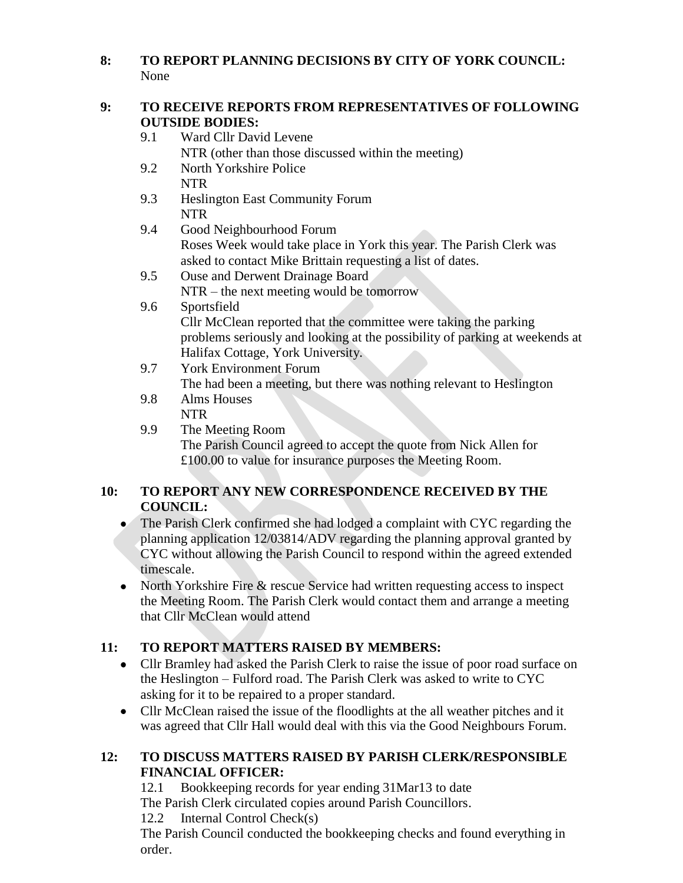# **8: TO REPORT PLANNING DECISIONS BY CITY OF YORK COUNCIL:** None

# **9: TO RECEIVE REPORTS FROM REPRESENTATIVES OF FOLLOWING OUTSIDE BODIES:**

- 9.1 Ward Cllr David Levene
	- NTR (other than those discussed within the meeting)
- 9.2 North Yorkshire Police NTR
- 9.3 Heslington East Community Forum NTR
- 9.4 Good Neighbourhood Forum Roses Week would take place in York this year. The Parish Clerk was asked to contact Mike Brittain requesting a list of dates.
- 9.5 Ouse and Derwent Drainage Board NTR – the next meeting would be tomorrow
- 9.6 Sportsfield Cllr McClean reported that the committee were taking the parking
	- problems seriously and looking at the possibility of parking at weekends at Halifax Cottage, York University.
- 9.7 York Environment Forum
	- The had been a meeting, but there was nothing relevant to Heslington
- 9.8 Alms Houses NTR
- 9.9 The Meeting Room The Parish Council agreed to accept the quote from Nick Allen for £100.00 to value for insurance purposes the Meeting Room.

# **10: TO REPORT ANY NEW CORRESPONDENCE RECEIVED BY THE COUNCIL:**

- The Parish Clerk confirmed she had lodged a complaint with CYC regarding the planning application 12/03814/ADV regarding the planning approval granted by CYC without allowing the Parish Council to respond within the agreed extended timescale.
- North Yorkshire Fire & rescue Service had written requesting access to inspect the Meeting Room. The Parish Clerk would contact them and arrange a meeting that Cllr McClean would attend

# **11: TO REPORT MATTERS RAISED BY MEMBERS:**

- Cllr Bramley had asked the Parish Clerk to raise the issue of poor road surface on the Heslington – Fulford road. The Parish Clerk was asked to write to CYC asking for it to be repaired to a proper standard.
- Cllr McClean raised the issue of the floodlights at the all weather pitches and it was agreed that Cllr Hall would deal with this via the Good Neighbours Forum.

# **12: TO DISCUSS MATTERS RAISED BY PARISH CLERK/RESPONSIBLE FINANCIAL OFFICER:**

12.1 Bookkeeping records for year ending 31Mar13 to date The Parish Clerk circulated copies around Parish Councillors. 12.2 Internal Control Check(s) The Parish Council conducted the bookkeeping checks and found everything in order.